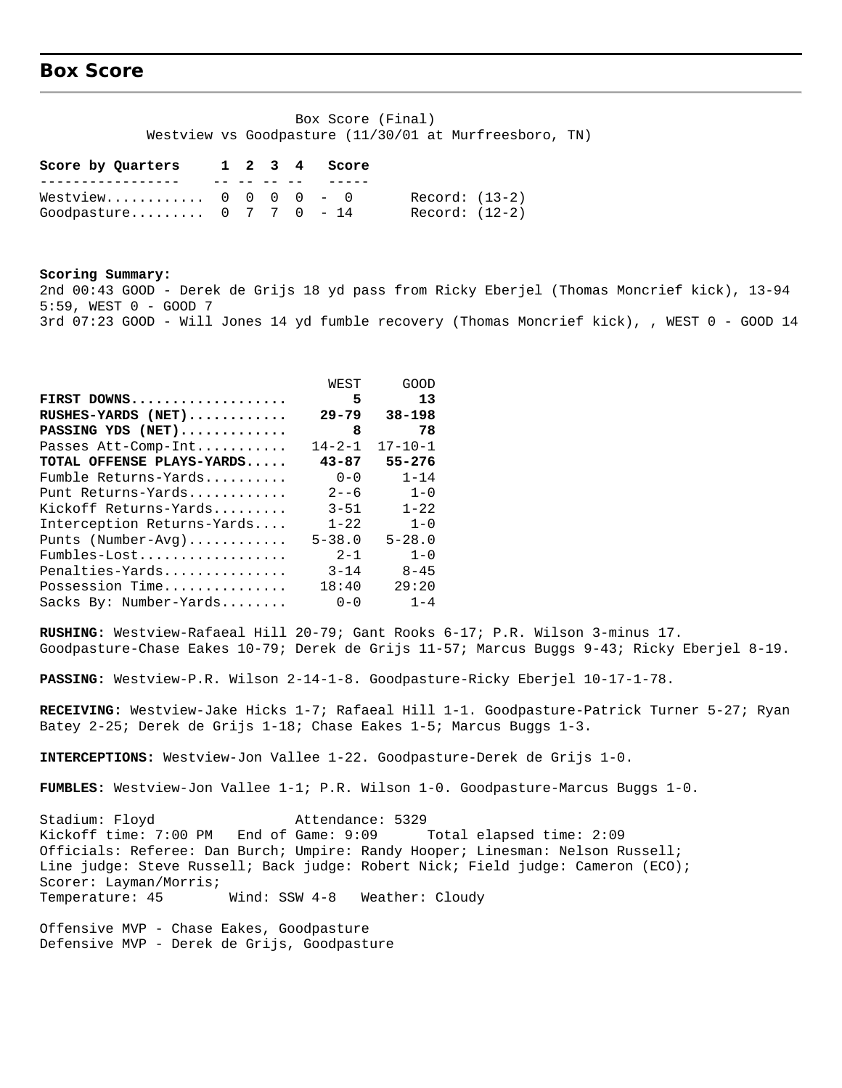### **Box Score**

 Box Score (Final) Westview vs Goodpasture (11/30/01 at Murfreesboro, TN)

| Score by Quarters                                                         |  |  | 1 2 3 4 Score |                                  |
|---------------------------------------------------------------------------|--|--|---------------|----------------------------------|
|                                                                           |  |  |               |                                  |
| Westview $0 \t 0 \t 0 \t - \t 0$<br>Goodpasture $0 \t 7 \t 7 \t 0 \t -14$ |  |  |               | Record: (13-2)<br>Record: (12-2) |

**Scoring Summary:** 2nd 00:43 GOOD - Derek de Grijs 18 yd pass from Ricky Eberjel (Thomas Moncrief kick), 13-94 5:59, WEST 0 - GOOD 7 3rd 07:23 GOOD - Will Jones 14 yd fumble recovery (Thomas Moncrief kick), , WEST 0 - GOOD 14

|                            | WEST         | GOOD          |
|----------------------------|--------------|---------------|
| FIRST DOWNS                | 5            | 13            |
| RUSHES-YARDS (NET)         | $29 - 79$    | $38 - 198$    |
| PASSING YDS (NET)          | 8            | 78            |
| Passes Att-Comp-Int        | $14 - 2 - 1$ | $17 - 10 - 1$ |
| TOTAL OFFENSE PLAYS-YARDS  | $43 - 87$    | $55 - 276$    |
| Fumble Returns-Yards       | $0 - 0$      | $1 - 14$      |
| Punt Returns-Yards         | $2 - -6$     | $1 - 0$       |
| Kickoff Returns-Yards      | $3 - 51$     | $1 - 22$      |
| Interception Returns-Yards | $1 - 22$     | $1 - 0$       |
| Punts (Number-Avg)         | $5 - 38.0$   | $5 - 28.0$    |
| Fumbles-Lost               | $2 - 1$      | $1 - 0$       |
| Penalties-Yards            | $3 - 14$     | $8 - 45$      |
| Possession Time            | 18:40        | 29:20         |
| Sacks By: Number-Yards     | $0 - 0$      | $1 - 4$       |

**RUSHING:** Westview-Rafaeal Hill 20-79; Gant Rooks 6-17; P.R. Wilson 3-minus 17. Goodpasture-Chase Eakes 10-79; Derek de Grijs 11-57; Marcus Buggs 9-43; Ricky Eberjel 8-19.

**PASSING:** Westview-P.R. Wilson 2-14-1-8. Goodpasture-Ricky Eberjel 10-17-1-78.

**RECEIVING:** Westview-Jake Hicks 1-7; Rafaeal Hill 1-1. Goodpasture-Patrick Turner 5-27; Ryan Batey 2-25; Derek de Grijs 1-18; Chase Eakes 1-5; Marcus Buggs 1-3.

**INTERCEPTIONS:** Westview-Jon Vallee 1-22. Goodpasture-Derek de Grijs 1-0.

**FUMBLES:** Westview-Jon Vallee 1-1; P.R. Wilson 1-0. Goodpasture-Marcus Buggs 1-0.

Stadium: Floyd Attendance: 5329 Kickoff time: 7:00 PM End of Game: 9:09 Total elapsed time: 2:09 Officials: Referee: Dan Burch; Umpire: Randy Hooper; Linesman: Nelson Russell; Line judge: Steve Russell; Back judge: Robert Nick; Field judge: Cameron (ECO); Scorer: Layman/Morris; Temperature: 45 Wind: SSW 4-8 Weather: Cloudy

Offensive MVP - Chase Eakes, Goodpasture Defensive MVP - Derek de Grijs, Goodpasture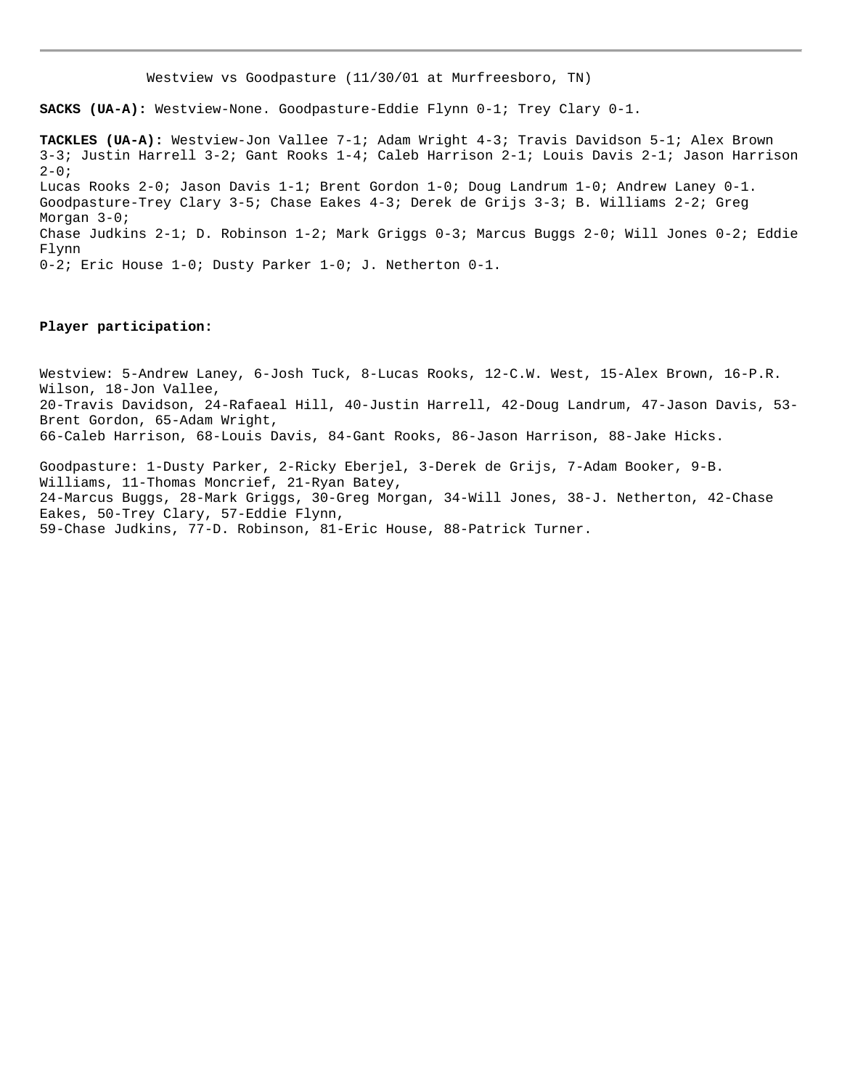Westview vs Goodpasture (11/30/01 at Murfreesboro, TN)

**SACKS (UA-A):** Westview-None. Goodpasture-Eddie Flynn 0-1; Trey Clary 0-1.

**TACKLES (UA-A):** Westview-Jon Vallee 7-1; Adam Wright 4-3; Travis Davidson 5-1; Alex Brown 3-3; Justin Harrell 3-2; Gant Rooks 1-4; Caleb Harrison 2-1; Louis Davis 2-1; Jason Harrison  $2 - 0;$ Lucas Rooks 2-0; Jason Davis 1-1; Brent Gordon 1-0; Doug Landrum 1-0; Andrew Laney 0-1. Goodpasture-Trey Clary 3-5; Chase Eakes 4-3; Derek de Grijs 3-3; B. Williams 2-2; Greg Morgan 3-0; Chase Judkins 2-1; D. Robinson 1-2; Mark Griggs 0-3; Marcus Buggs 2-0; Will Jones 0-2; Eddie Flynn 0-2; Eric House 1-0; Dusty Parker 1-0; J. Netherton 0-1.

#### **Player participation:**

Westview: 5-Andrew Laney, 6-Josh Tuck, 8-Lucas Rooks, 12-C.W. West, 15-Alex Brown, 16-P.R. Wilson, 18-Jon Vallee, 20-Travis Davidson, 24-Rafaeal Hill, 40-Justin Harrell, 42-Doug Landrum, 47-Jason Davis, 53- Brent Gordon, 65-Adam Wright, 66-Caleb Harrison, 68-Louis Davis, 84-Gant Rooks, 86-Jason Harrison, 88-Jake Hicks.

Goodpasture: 1-Dusty Parker, 2-Ricky Eberjel, 3-Derek de Grijs, 7-Adam Booker, 9-B. Williams, 11-Thomas Moncrief, 21-Ryan Batey, 24-Marcus Buggs, 28-Mark Griggs, 30-Greg Morgan, 34-Will Jones, 38-J. Netherton, 42-Chase Eakes, 50-Trey Clary, 57-Eddie Flynn, 59-Chase Judkins, 77-D. Robinson, 81-Eric House, 88-Patrick Turner.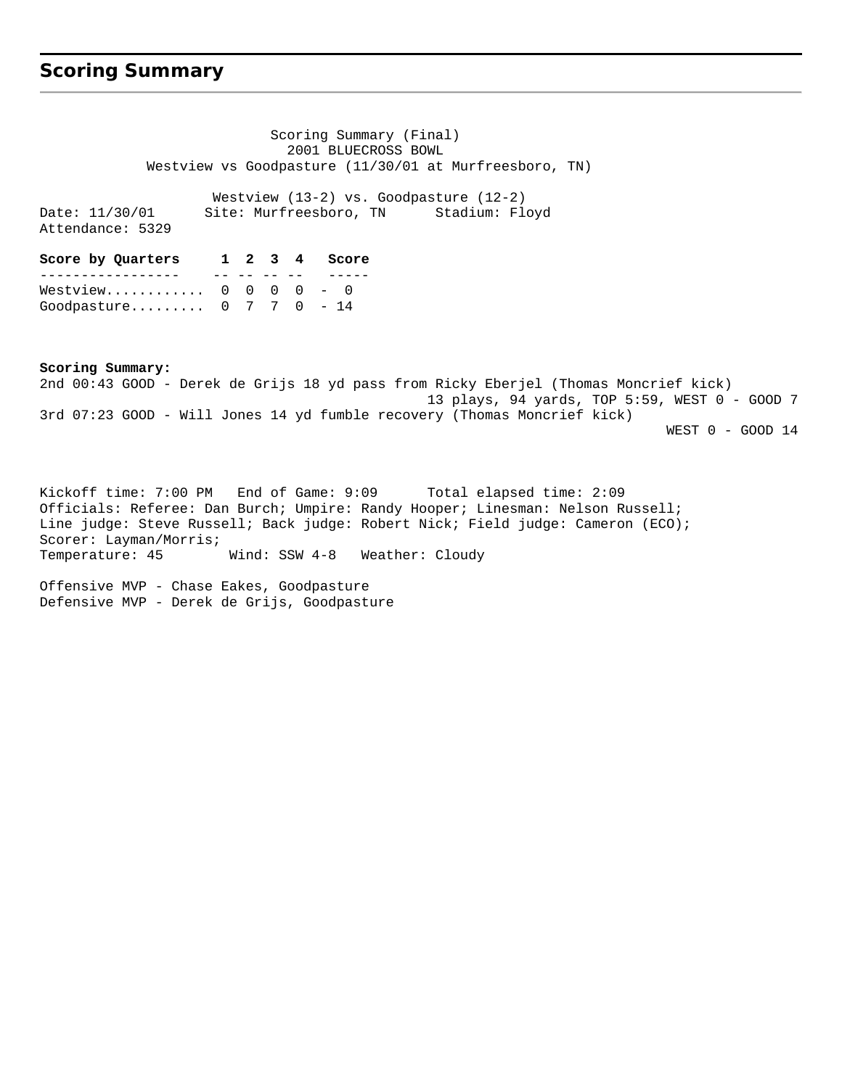## **Scoring Summary**

 Scoring Summary (Final) 2001 BLUECROSS BOWL Westview vs Goodpasture (11/30/01 at Murfreesboro, TN) Westview (13-2) vs. Goodpasture (12-2) Date: 11/30/01 Site: Murfreesboro, TN Stadium: Floyd Attendance: 5329 **Score by Quarters 1 2 3 4 Score** ----------------- -- -- -- -- ----- Westview........... 0 0 0 0 - 0

**Scoring Summary:** 2nd 00:43 GOOD - Derek de Grijs 18 yd pass from Ricky Eberjel (Thomas Moncrief kick) 13 plays, 94 yards, TOP 5:59, WEST 0 - GOOD 7 3rd 07:23 GOOD - Will Jones 14 yd fumble recovery (Thomas Moncrief kick) WEST 0 - GOOD 14

Kickoff time: 7:00 PM End of Game: 9:09 Total elapsed time: 2:09 Officials: Referee: Dan Burch; Umpire: Randy Hooper; Linesman: Nelson Russell; Line judge: Steve Russell; Back judge: Robert Nick; Field judge: Cameron (ECO); Scorer: Layman/Morris; Temperature: 45 Wind: SSW 4-8 Weather: Cloudy

Offensive MVP - Chase Eakes, Goodpasture Defensive MVP - Derek de Grijs, Goodpasture

Goodpasture......... 0 7 7 0 - 14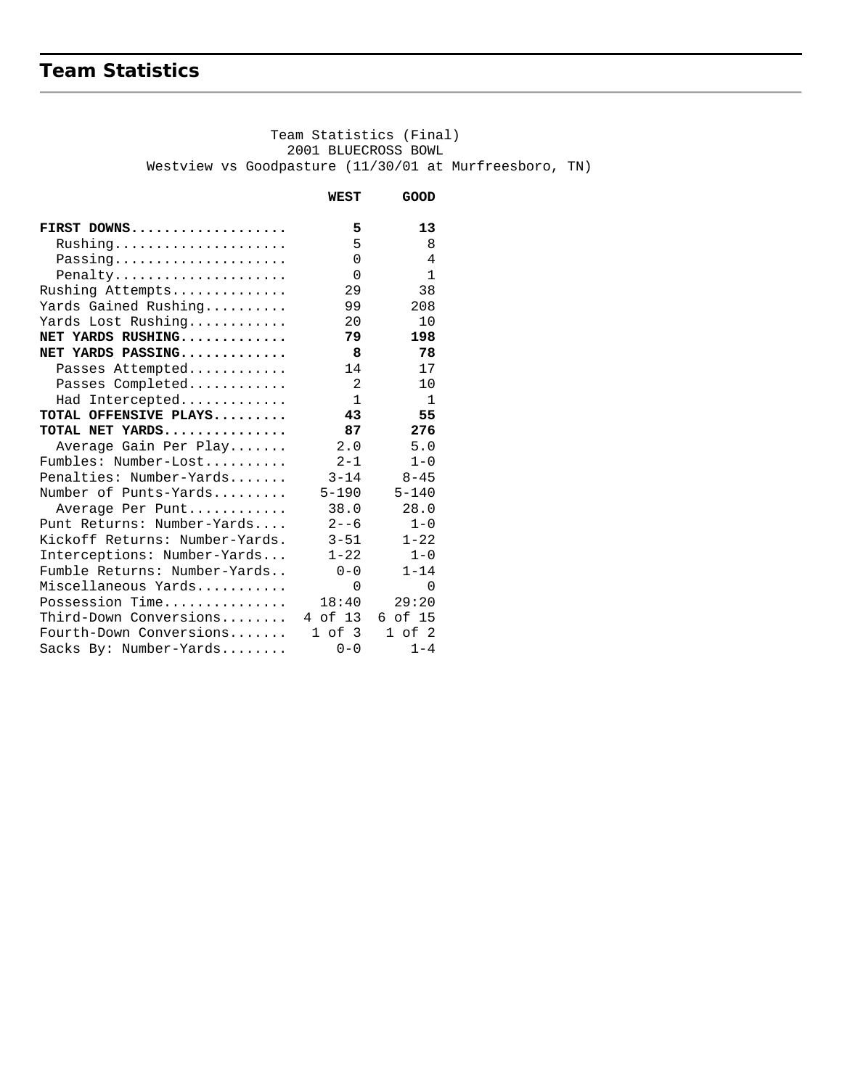# **Team Statistics**

 Team Statistics (Final) 2001 BLUECROSS BOWL Westview vs Goodpasture (11/30/01 at Murfreesboro, TN)

|                                | WEST         | GOOD           |
|--------------------------------|--------------|----------------|
| FIRST DOWNS                    | 5            | 13             |
| Rushing                        | 5            | 8              |
| Passing                        | $\Omega$     | 4              |
| Penalty                        | $\Omega$     | $\mathbf{1}$   |
| Rushing Attempts               | 29           | 38             |
| Yards Gained Rushing           | 99           | 208            |
| Yards Lost Rushing             | 20           | 10             |
| NET YARDS RUSHING              | 79           | 198            |
| NET YARDS PASSING              | 8            | 78             |
| Passes Attempted               | 14           | 17             |
| Passes Completed               | 2            | 10             |
| Had Intercepted                | $\mathbf{1}$ | $\overline{1}$ |
| TOTAL OFFENSIVE PLAYS          | 43           | 55             |
| TOTAL NET YARDS                | 87           | 276            |
| Average Gain Per Play          | 2.0          | 5.0            |
| Fumbles: Number-Lost           | $2 - 1$      | $1 - 0$        |
| Penalties: Number-Yards        | $3 - 14$     | $8 - 45$       |
| Number of Punts-Yards          | $5 - 190$    | $5 - 140$      |
| Average Per Punt               | 38.0         | 28.0           |
| Punt Returns: Number-Yards     | $2 - -6$     | $1 - 0$        |
| Kickoff Returns: Number-Yards. | $3 - 51$     | $1 - 22$       |
| Interceptions: Number-Yards    | $1 - 22$     | $1 - 0$        |
| Fumble Returns: Number-Yards   | $0 - 0$      | $1 - 14$       |
| Miscellaneous Yards            | $\Omega$     | $\Omega$       |
| Possession Time                | 18:40        | 29:20          |
| Third-Down Conversions         | 4 of 13      | 6 of 15        |
| Fourth-Down Conversions        | 1 of 3       | $1$ of $2$     |
| Sacks By: Number-Yards         | $0 - 0$      | $1 - 4$        |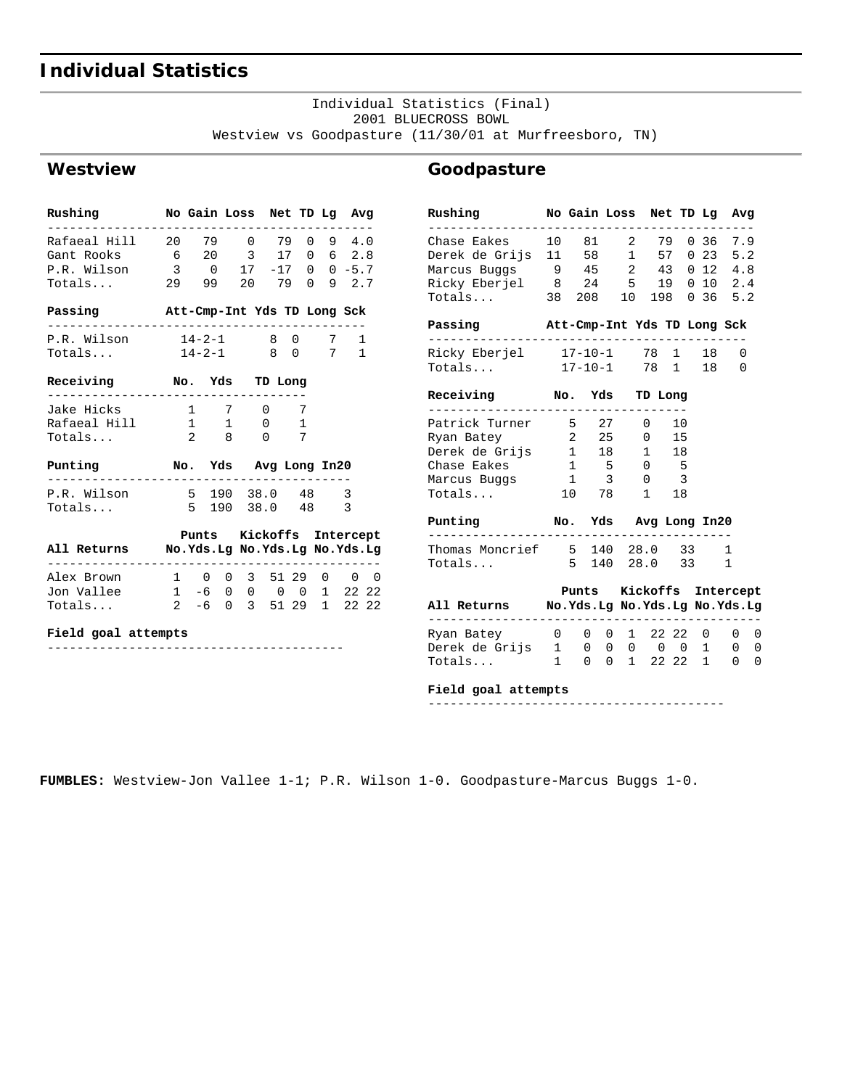# **Individual Statistics**

#### Individual Statistics (Final) 2001 BLUECROSS BOWL Westview vs Goodpasture (11/30/01 at Murfreesboro, TN)

**Goodpasture**

### **Westview**

| Rushing No Gain Loss Net TD Lg Avg                                                                                               |                            |  |                             |                          |
|----------------------------------------------------------------------------------------------------------------------------------|----------------------------|--|-----------------------------|--------------------------|
| Rafaeal Hill 20 79 0 79 0 9 4.0<br>Gant Rooks 6 20 3 17 0 6 2.8<br>P.R. Wilson 3 0 17 -17 0 0 -5.7<br>Totals 29 99 20 79 0 9 2.7 |                            |  |                             |                          |
| Passing Mtt-Cmp-Int Yds TD Long Sck                                                                                              |                            |  |                             |                          |
| P.R. Wilson 14-2-1 8 0 7<br>Totals 14-2-1 8 0 7                                                                                  |                            |  |                             | 1<br>$\mathbf{1}$        |
| Receiving No. Yds TD Long<br>---------                                                                                           |                            |  |                             |                          |
| Jake Hicks<br>Rafaeal Hill 1 1 0 1<br>Totals                                                                                     | 1 7 0 7<br>$2 \t 8 \t 0$   |  | 7                           |                          |
| Punting                                                                                                                          | No. Yds Avg Long In20<br>. |  | . _ _ _ _ _ _ _ _ _ _ _ _ _ |                          |
| P.R. Wilson 5 190 38.0 48 3<br>Totals                                                                                            | 5 190 38.0 48 3            |  |                             |                          |
| All Returns Mo.Yds.Lg No.Yds.Lg No.Yds.Lg                                                                                        |                            |  |                             | Punts Kickoffs Intercept |
| Alex Brown 1 0 0 3 51 29 0 0 0<br>Jon Vallee 1 -6 0 0 0 0 1 22 22<br>Totals                                                      |                            |  |                             | 2 -6 0 3 51 29 1 22 22   |

#### **Field goal attempts**

----------------------------------------

| Rushing                                   |    | No Gain Loss Net TD Lg      |                         |                          |                          | Avg               |   |
|-------------------------------------------|----|-----------------------------|-------------------------|--------------------------|--------------------------|-------------------|---|
| Chase Eakes                               | 10 |                             |                         | 81 2 79                  |                          | 0, 36, 7.9        |   |
| Derek de Grijs 11 58 1 57                 |    |                             |                         |                          |                          | 0, 23, 5.2        |   |
| Marcus Buggs 9 45 2 43                    |    |                             |                         |                          |                          | $0$ 12 4.8        |   |
| Ricky Eberjel 8 24 5 19                   |    |                             |                         |                          |                          | 0 10 2.4          |   |
| Totals 38 208 10 198 0 36 5.2             |    |                             |                         |                          |                          |                   |   |
| Passing                                   |    | Att-Cmp-Int Yds TD Long Sck |                         |                          |                          |                   |   |
| Ricky Eberjel 17-10-1 78 1 18             |    |                             |                         |                          |                          | 0                 |   |
| Totals 17-10-1 78 1 18                    |    |                             |                         |                          |                          | 0                 |   |
| Receiving No. Yds TD Long                 |    |                             |                         |                          |                          |                   |   |
| Patrick Turner 5 27 0 10                  |    |                             |                         |                          |                          |                   |   |
| Ryan Batey                                |    | 2 25                        |                         | $0$ 15                   |                          |                   |   |
| Derek de Grijs 1 18 1 18                  |    |                             |                         |                          |                          |                   |   |
| Chase Eakes                               |    | $1 \quad 5 \quad 0 \quad 5$ |                         |                          |                          |                   |   |
| Marcus Buggs                              |    | $\overline{1}$              | $\overline{\mathbf{3}}$ | $\overline{0}$           | $\overline{\phantom{a}}$ |                   |   |
| Totals                                    |    | 10 78                       |                         | 1 18                     |                          |                   |   |
| Punting Mo. Yds Avg Long In20             |    |                             |                         |                          |                          |                   |   |
| Thomas Moncrief 5 140 28.0 33             |    |                             |                         |                          |                          | 1                 |   |
| Totals                                    |    | 5 140 28.0 33               |                         |                          |                          | 1                 |   |
|                                           |    | Punts Kickoffs Intercept    |                         |                          |                          |                   |   |
| All Returns Mo.Yds.Lg No.Yds.Lg No.Yds.Lg |    |                             |                         |                          |                          |                   |   |
| Ryan Batey                                |    | 0 0 0 1 22 22 0             |                         |                          |                          | $\overline{0}$    | 0 |
| Derek de Grijs 1                          |    |                             |                         | $0\quad 0\quad 0\quad 0$ |                          | $0\quad 1\quad 0$ | 0 |
| $Totals$ 1                                |    |                             |                         |                          | 0 0 1 22 22 1            | 0                 | 0 |

#### **Field goal attempts**

----------------------------------------

**FUMBLES:** Westview-Jon Vallee 1-1; P.R. Wilson 1-0. Goodpasture-Marcus Buggs 1-0.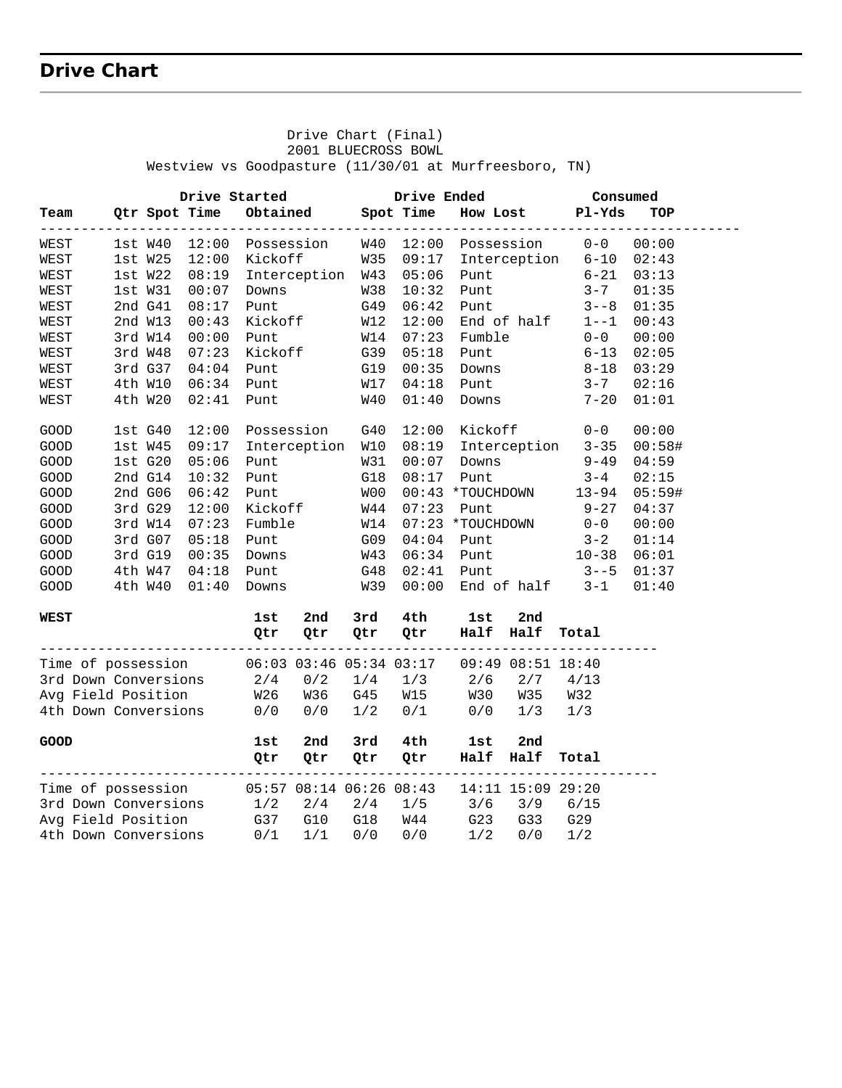## **Drive Chart**

 Westview vs Goodpasture (11/30/01 at Murfreesboro, TN)  **Drive Started Drive Ended Consumed Team Qtr Spot Time Obtained Spot Time How Lost Pl-Yds TOP**  ------------------------------------------------------------------------------------- WEST 1st W40 12:00 Possession W40 12:00 Possession 0-0 00:00 WEST 1st W25 12:00 Kickoff W35 09:17 Interception 6-10 02:43 WEST 1st W22 08:19 Interception W43 05:06 Punt 6-21 03:13 WEST 1st W31 00:07 Downs W38 10:32 Punt 3-7 01:35 WEST 2nd G41 08:17 Punt G49 06:42 Punt 3--8 01:35 WEST 2nd W13 00:43 Kickoff W12 12:00 End of half 1--1 00:43 WEST 3rd W14 00:00 Punt W14 07:23 Fumble 0-0 00:00 WEST 3rd W48 07:23 Kickoff G39 05:18 Punt 6-13 02:05 WEST 3rd G37 04:04 Punt G19 00:35 Downs 8-18 03:29 WEST 4th W10 06:34 Punt W17 04:18 Punt 3-7 02:16 WEST 4th W20 02:41 Punt W40 01:40 Downs 7-20 01:01 GOOD 1st G40 12:00 Possession G40 12:00 Kickoff 0-0 00:00 GOOD 1st W45 09:17 Interception W10 08:19 Interception 3-35 00:58# GOOD 1st G20 05:06 Punt W31 00:07 Downs 9-49 04:59 GOOD 2nd G14 10:32 Punt G18 08:17 Punt 3-4 02:15 GOOD 2nd G06 06:42 Punt W00 00:43 \*TOUCHDOWN 13-94 05:59# GOOD 3rd G29 12:00 Kickoff W44 07:23 Punt 9-27 04:37 GOOD 3rd W14 07:23 Fumble W14 07:23 \*TOUCHDOWN 0-0 00:00 GOOD 3rd G07 05:18 Punt G09 04:04 Punt 3-2 01:14 GOOD 3rd G19 00:35 Downs W43 06:34 Punt 10-38 06:01 GOOD 4th W47 04:18 Punt G48 02:41 Punt 3--5 01:37 GOOD 4th W40 01:40 Downs W39 00:00 End of half 3-1 01:40 **WEST 1st 2nd 3rd 4th 1st 2nd Qtr Qtr Qtr Qtr Half Half Total** --------------------------------------------------------------------------- Time of possession 06:03 03:46 05:34 03:17 09:49 08:51 18:40 3rd Down Conversions 2/4 0/2 1/4 1/3 2/6 2/7 4/13 Avg Field Position W26 W36 G45 W15 W30 W35 W32 4th Down Conversions 0/0 0/0 1/2 0/1 0/0 1/3 1/3 **GOOD 1st 2nd 3rd 4th 1st 2nd Qtr Qtr Qtr Qtr Half Half Total** --------------------------------------------------------------------------- Time of possession 05:57 08:14 06:26 08:43 14:11 15:09 29:20 3rd Down Conversions 1/2 2/4 2/4 1/5 3/6 3/9 6/15 Avg Field Position G37 G10 G18 W44 G23 G33 G29 4th Down Conversions 0/1 1/1 0/0 0/0 1/2 0/0 1/2

 Drive Chart (Final) 2001 BLUECROSS BOWL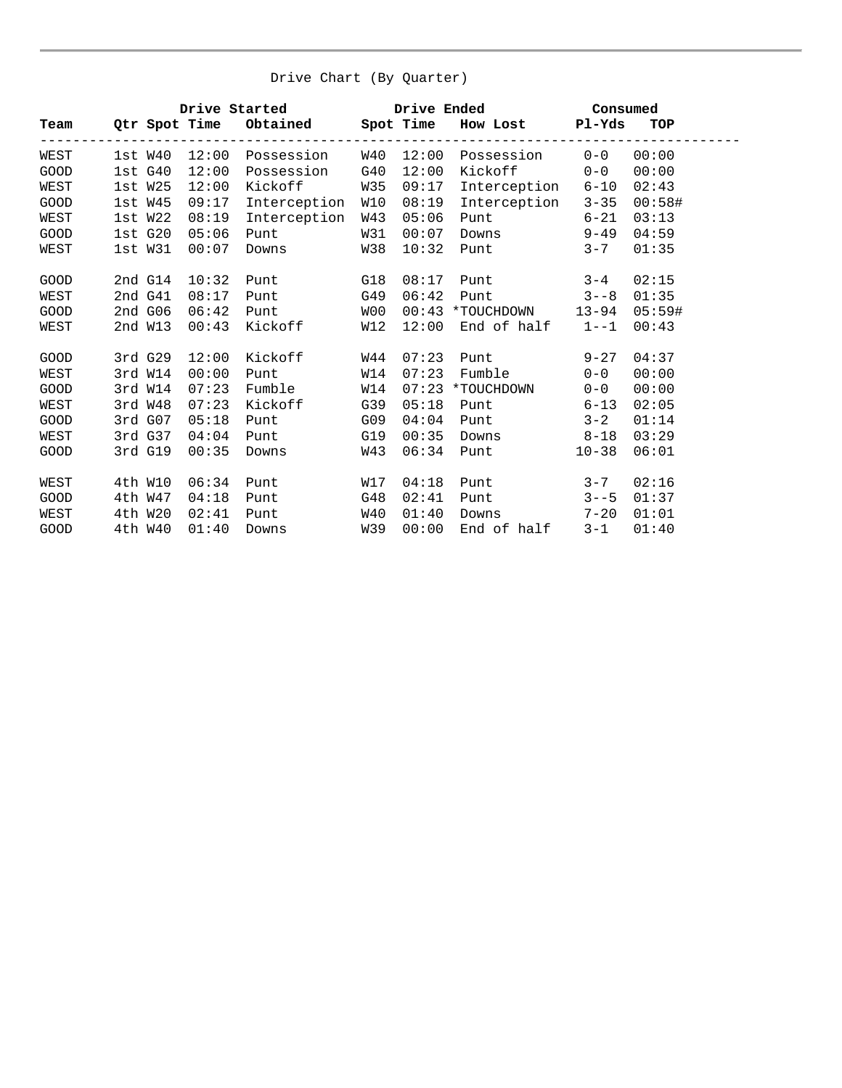| Drive Chart (By Quarter) |  |
|--------------------------|--|
|--------------------------|--|

|      |              |       |                                       |     |       | Drive Started Drive Ended Consumed                  |           |        |
|------|--------------|-------|---------------------------------------|-----|-------|-----------------------------------------------------|-----------|--------|
|      |              |       | Team Qtr Spot Time Obtained Spot Time |     |       | How Lost Pl-Yds                                     |           | TOP    |
| WEST |              |       |                                       |     |       | $1st W40 12:00 Possession W40 12:00 Possession 0-0$ |           | 00:00  |
| GOOD | 1stG40       | 12:00 | Possession                            | G40 | 12:00 | Kickoff 0-0                                         |           | 00:00  |
| WEST | 1st W25      | 12:00 | Kickoff                               | W35 | 09:17 | Interception 6-10                                   |           | 02:43  |
| GOOD | $1st$ W $45$ | 09:17 | Interception                          | W10 | 08:19 | Interception 3-35                                   |           | 00:58# |
| WEST | 1st W22      | 08:19 | Interception                          | W43 | 05:06 | Punt 6-21                                           |           | 03:13  |
| GOOD | 1stG20       | 05:06 | Punt                                  | W31 | 00:07 | Downs 9-49                                          |           | 04:59  |
| WEST | lst W31      | 00:07 | Downs                                 | W38 | 10:32 | <b>Punt</b>                                         | $3 - 7$   | 01:35  |
| GOOD | 2nd G14      | 10:32 | <b>Punt</b>                           | G18 | 08:17 | Punt                                                | $3 - 4$   | 02:15  |
| WEST | 2nd G41      | 08:17 | <b>Punt</b>                           | G49 | 06:42 | Punt $3--8$                                         |           | 01:35  |
| GOOD | $2ndG$ 06    | 06:42 | Punt                                  | W00 |       | 00:43 *TOUCHDOWN 13-94 05:59#                       |           |        |
| WEST | 2nd W13      | 00:43 | Kickoff                               | W12 | 12:00 | End of half 1--1                                    |           | 00:43  |
| GOOD | 3rd G29      | 12:00 | Kickoff                               | W44 | 07:23 | Punt                                                | $9 - 27$  | 04:37  |
| WEST | 3rd W14      | 00:00 | Punt                                  | W14 | 07:23 | Fumble                                              | $0 - 0$   | 00:00  |
| GOOD | 3rd W14      | 07:23 | Fumble                                | W14 |       | 07:23 *TOUCHDOWN                                    | $0 - 0$   | 00:00  |
| WEST | 3rd W48      | 07:23 | Kickoff                               | G39 | 05:18 | <b>Punt</b>                                         | $6 - 13$  | 02:05  |
| GOOD | 3rd G07      | 05:18 | Punt                                  | G09 | 04:04 | Punt                                                | $3 - 2$   | 01:14  |
| WEST | 3rd G37      | 04:04 | Punt                                  | G19 | 00:35 | Downs 8-18                                          |           | 03:29  |
| GOOD | 3rd G19      | 00:35 | Downs                                 | W43 | 06:34 | Punt                                                | $10 - 38$ | 06:01  |
| WEST | 4th W10      | 06:34 | Punt                                  | W17 | 04:18 | <b>Punt</b>                                         | $3 - 7$   | 02:16  |
| GOOD | 4th W47      | 04:18 | Punt                                  | G48 | 02:41 | Punt                                                | $3 - -5$  | 01:37  |
| WEST | 4th W20      | 02:41 | Punt                                  | W40 | 01:40 | Downs                                               | $7 - 20$  | 01:01  |
| GOOD | 4th W40      | 01:40 | Downs                                 | W39 | 00:00 | End of half                                         | $3 - 1$   | 01:40  |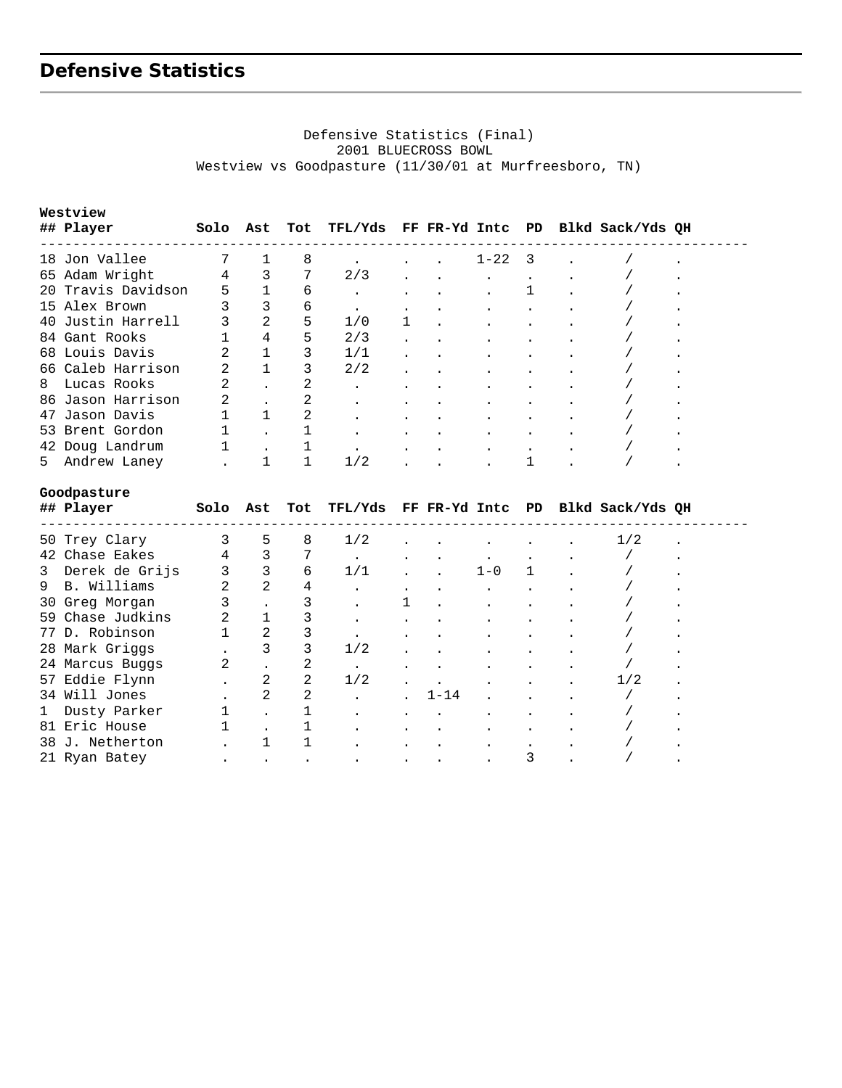# **Defensive Statistics**

#### Defensive Statistics (Final) 2001 BLUECROSS BOWL Westview vs Goodpasture (11/30/01 at Murfreesboro, TN)

|    | Westview           |   |          |     |           |                      |                      |                      |                                           |  |
|----|--------------------|---|----------|-----|-----------|----------------------|----------------------|----------------------|-------------------------------------------|--|
|    | ## Player          |   | Solo Ast | Tot |           |                      |                      |                      | TFL/Yds FF FR-Yd Intc PD Blkd Sack/Yds QH |  |
|    | 18 Jon Vallee      |   |          | 8   |           |                      | $1 - 22$ 3           |                      |                                           |  |
|    | 65 Adam Wright     | 4 | 3        | 7   | 2/3       | $\ddot{\phantom{a}}$ | $\ddot{\phantom{a}}$ | $\cdot$              |                                           |  |
|    | 20 Travis Davidson | 5 |          | 6   |           |                      |                      |                      |                                           |  |
|    | 15 Alex Brown      | 3 | 3        | 6   | $\bullet$ |                      |                      |                      |                                           |  |
|    | 40 Justin Harrell  | 3 | 2        | 5   | 1/0       | $\mathbf 1$          |                      | $\cdot$              |                                           |  |
|    | 84 Gant Rooks      |   | 4        | 5   | 2/3       | $\cdot$              |                      | $\ddot{\phantom{a}}$ |                                           |  |
|    | 68 Louis Davis     | 2 |          | 3   | 1/1       | $\cdot$              |                      | $\bullet$            |                                           |  |
|    | 66 Caleb Harrison  | 2 |          | 3   | 2/2       | $\ddot{\phantom{a}}$ |                      | $\bullet$            |                                           |  |
| 8  | Lucas Rooks        | 2 |          |     | $\bullet$ | $\bullet$            | $\bullet$            | $\bullet$            |                                           |  |
|    | 86 Jason Harrison  | 2 |          | 2   | $\bullet$ |                      |                      | $\bullet$            |                                           |  |
|    | 47 Jason Davis     |   |          |     | $\bullet$ |                      |                      |                      |                                           |  |
|    | 53 Brent Gordon    |   |          |     | $\bullet$ | $\bullet$            |                      |                      |                                           |  |
|    | 42 Doug Landrum    |   |          |     | $\bullet$ | $\bullet$            |                      | $\cdot$              |                                           |  |
| 5. | Andrew Laney       |   |          |     | 1/2       |                      |                      |                      |                                           |  |

#### **Goodpasture**

|   | ## Player        | Solo | Ast | Tot |           |           |          |         |   | TFL/Yds FF FR-Yd Intc PD Blkd Sack/Yds QH |  |
|---|------------------|------|-----|-----|-----------|-----------|----------|---------|---|-------------------------------------------|--|
|   | 50 Trey Clary    |      | 5   | 8   | 1/2       |           |          |         |   | 1/2                                       |  |
|   | 42 Chase Eakes   | 4    | 3   |     |           |           |          |         |   |                                           |  |
| 3 | Derek de Grijs   |      | 3   | 6   | 1/1       | $\bullet$ |          | $1 - 0$ |   |                                           |  |
|   | 9 B. Williams    | 2    | 2   | 4   |           | $\bullet$ |          |         |   |                                           |  |
|   | 30 Greg Morgan   |      |     |     |           |           |          |         |   |                                           |  |
|   | 59 Chase Judkins |      |     |     |           |           |          |         |   |                                           |  |
|   | 77 D. Robinson   |      | 2   |     |           |           |          |         |   |                                           |  |
|   | 28 Mark Griggs   |      | 3   | 3   | 1/2       | $\bullet$ |          |         |   |                                           |  |
|   | 24 Marcus Buggs  | 2    |     |     | $\bullet$ |           |          |         |   |                                           |  |
|   | 57 Eddie Flynn   |      | 2   | 2   | 1/2       |           |          |         |   | 1/2                                       |  |
|   | 34 Will Jones    |      | 2   | 2   |           |           | $1 - 14$ |         |   |                                           |  |
| 1 | Dusty Parker     |      |     |     |           |           |          |         |   |                                           |  |
|   | 81 Eric House    |      |     |     |           | $\bullet$ |          |         |   |                                           |  |
|   | 38 J. Netherton  |      |     |     |           |           |          |         |   |                                           |  |
|   | 21 Ryan Batey    |      |     |     | $\bullet$ | $\bullet$ |          |         | 3 |                                           |  |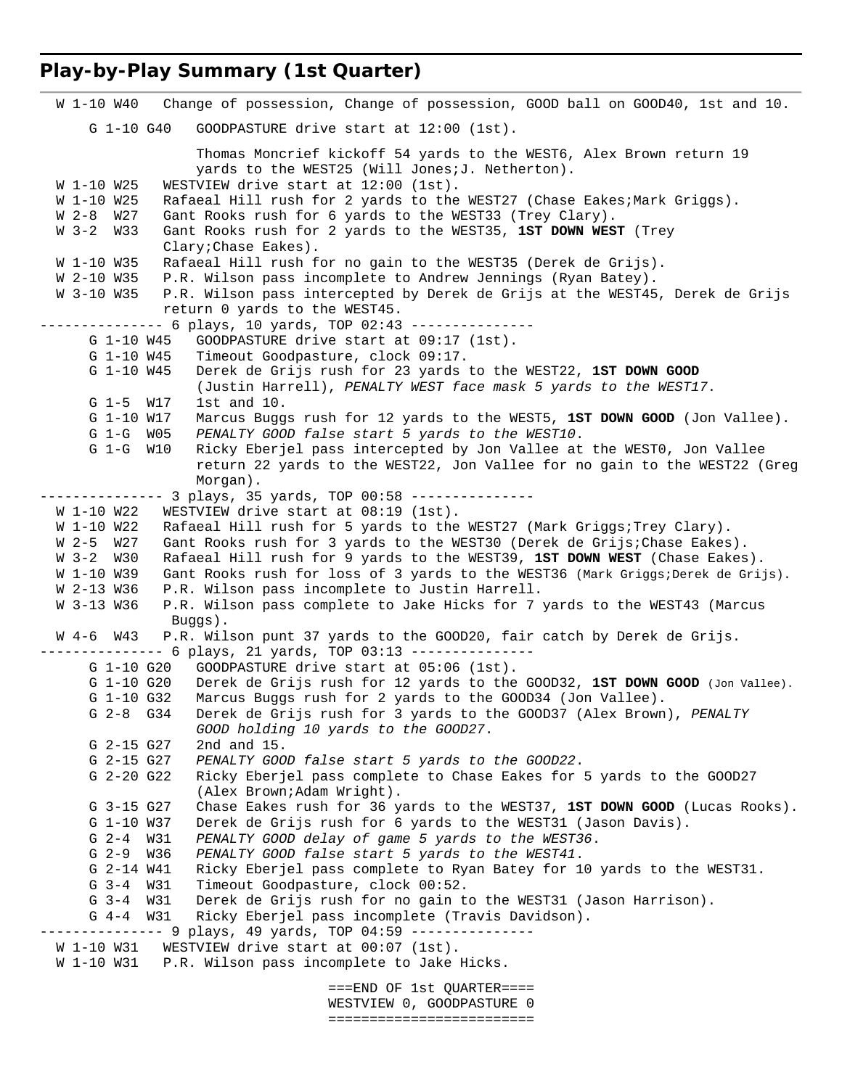## **Play-by-Play Summary (1st Quarter)**

```
 W 1-10 W40 Change of possession, Change of possession, GOOD ball on GOOD40, 1st and 10. 
      G 1-10 G40 GOODPASTURE drive start at 12:00 (1st). 
                   Thomas Moncrief kickoff 54 yards to the WEST6, Alex Brown return 19 
                  yards to the WEST25 (Will Jones; J. Netherton).
 W 1-10 W25 WESTVIEW drive start at 12:00 (1st).
 W 1-10 W25 Rafaeal Hill rush for 2 yards to the WEST27 (Chase Eakes;Mark Griggs).
  W 2-8 W27 Gant Rooks rush for 6 yards to the WEST33 (Trey Clary). 
  W 3-2 W33 Gant Rooks rush for 2 yards to the WEST35, 1ST DOWN WEST (Trey 
               Clary;Chase Eakes). 
  W 1-10 W35 Rafaeal Hill rush for no gain to the WEST35 (Derek de Grijs). 
  W 2-10 W35 P.R. Wilson pass incomplete to Andrew Jennings (Ryan Batey). 
  W 3-10 W35 P.R. Wilson pass intercepted by Derek de Grijs at the WEST45, Derek de Grijs 
               return 0 yards to the WEST45. 
------------- 6 plays, 10 yards, TOP 02:43 ---------------
      G 1-10 W45 GOODPASTURE drive start at 09:17 (1st). 
      G 1-10 W45 Timeout Goodpasture, clock 09:17. 
      G 1-10 W45 Derek de Grijs rush for 23 yards to the WEST22, 1ST DOWN GOOD
                   (Justin Harrell), PENALTY WEST face mask 5 yards to the WEST17. 
      G 1-5 W17 1st and 10. 
      G 1-10 W17 Marcus Buggs rush for 12 yards to the WEST5, 1ST DOWN GOOD (Jon Vallee). 
      G 1-G W05 PENALTY GOOD false start 5 yards to the WEST10. 
      G 1-G W10 Ricky Eberjel pass intercepted by Jon Vallee at the WEST0, Jon Vallee 
                   return 22 yards to the WEST22, Jon Vallee for no gain to the WEST22 (Greg 
                   Morgan). 
-------------- 3 plays, 35 yards, TOP 00:58 ---------------
 W 1-10 W22 WESTVIEW drive start at 08:19 (1st).
 W 1-10 W22 Rafaeal Hill rush for 5 yards to the WEST27 (Mark Griggs; Trey Clary).
  W 2-5 W27 Gant Rooks rush for 3 yards to the WEST30 (Derek de Grijs;Chase Eakes). 
  W 3-2 W30 Rafaeal Hill rush for 9 yards to the WEST39, 1ST DOWN WEST (Chase Eakes). 
 W 1-10 W39 Gant Rooks rush for loss of 3 yards to the WEST36 (Mark Griggs;Derek de Grijs).
  W 2-13 W36 P.R. Wilson pass incomplete to Justin Harrell. 
  W 3-13 W36 P.R. Wilson pass complete to Jake Hicks for 7 yards to the WEST43 (Marcus 
               Buggs). 
  W 4-6 W43 P.R. Wilson punt 37 yards to the GOOD20, fair catch by Derek de Grijs. 
 -------------- 6 plays, 21 yards, TOP 03:13 ---------------
      G 1-10 G20 GOODPASTURE drive start at 05:06 (1st). 
      G 1-10 G20 Derek de Grijs rush for 12 yards to the GOOD32, 1ST DOWN GOOD (Jon Vallee).
      G 1-10 G32 Marcus Buggs rush for 2 yards to the GOOD34 (Jon Vallee). 
      G 2-8 G34 Derek de Grijs rush for 3 yards to the GOOD37 (Alex Brown), PENALTY 
                   GOOD holding 10 yards to the GOOD27. 
      G 2-15 G27 2nd and 15. 
      G 2-15 G27 PENALTY GOOD false start 5 yards to the GOOD22. 
      G 2-20 G22 Ricky Eberjel pass complete to Chase Eakes for 5 yards to the GOOD27 
                   (Alex Brown;Adam Wright). 
      G 3-15 G27 Chase Eakes rush for 36 yards to the WEST37, 1ST DOWN GOOD (Lucas Rooks). 
      G 1-10 W37 Derek de Grijs rush for 6 yards to the WEST31 (Jason Davis). 
      G 2-4 W31 PENALTY GOOD delay of game 5 yards to the WEST36. 
      G 2-9 W36 PENALTY GOOD false start 5 yards to the WEST41. 
      G 2-14 W41 Ricky Eberjel pass complete to Ryan Batey for 10 yards to the WEST31. 
      G 3-4 W31 Timeout Goodpasture, clock 00:52. 
      G 3-4 W31 Derek de Grijs rush for no gain to the WEST31 (Jason Harrison). 
      G 4-4 W31 Ricky Eberjel pass incomplete (Travis Davidson). 
--------------- 9 plays, 49 yards, TOP 04:59 --------------- 
 W 1-10 W31 WESTVIEW drive start at 00:07 (1st).
  W 1-10 W31 P.R. Wilson pass incomplete to Jake Hicks. 
                                    ===END OF 1st QUARTER==== 
                                    WESTVIEW 0, GOODPASTURE 0
```
=========================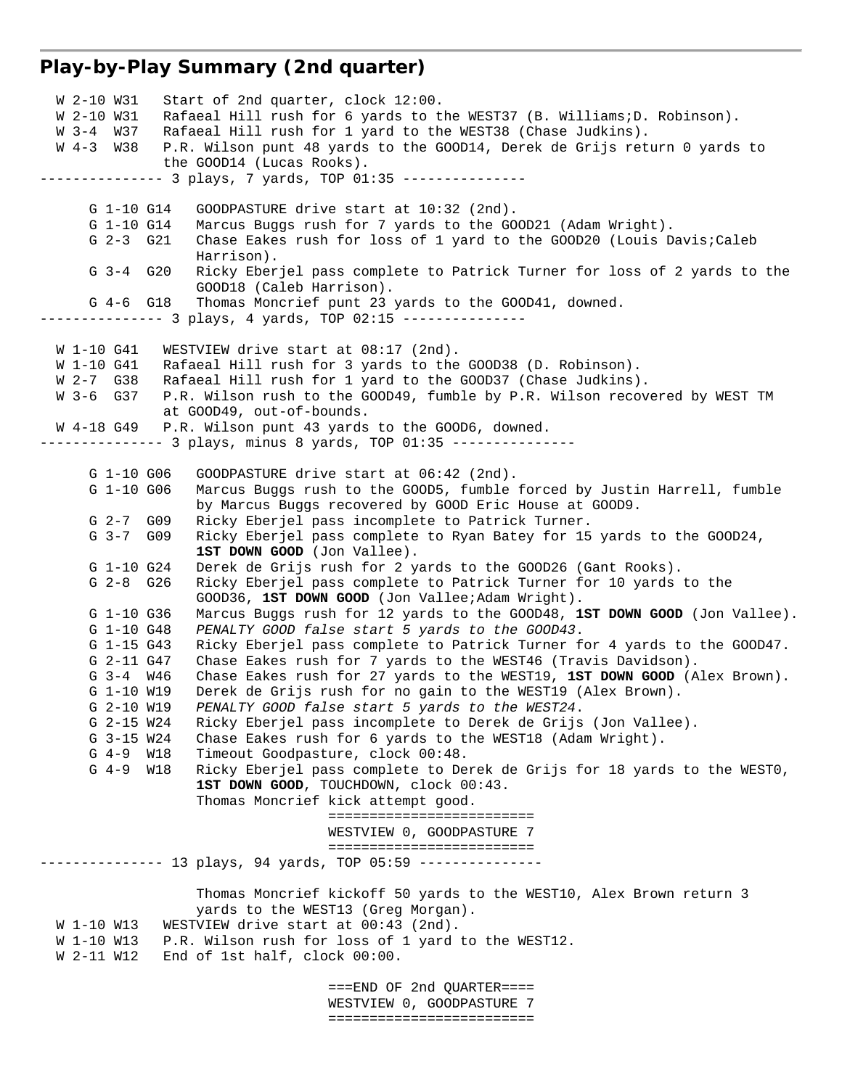### **Play-by-Play Summary (2nd quarter)**

 W 2-10 W31 Start of 2nd quarter, clock 12:00. W 2-10 W31 Rafaeal Hill rush for 6 yards to the WEST37 (B. Williams;D. Robinson). W 3-4 W37 Rafaeal Hill rush for 1 yard to the WEST38 (Chase Judkins). W 4-3 W38 P.R. Wilson punt 48 yards to the GOOD14, Derek de Grijs return 0 yards to the GOOD14 (Lucas Rooks). --------------- 3 plays, 7 yards, TOP 01:35 --------------- G 1-10 G14 GOODPASTURE drive start at 10:32 (2nd). G 1-10 G14 Marcus Buggs rush for 7 yards to the GOOD21 (Adam Wright). G 2-3 G21 Chase Eakes rush for loss of 1 yard to the GOOD20 (Louis Davis;Caleb Harrison). G 3-4 G20 Ricky Eberjel pass complete to Patrick Turner for loss of 2 yards to the GOOD18 (Caleb Harrison). G 4-6 G18 Thomas Moncrief punt 23 yards to the GOOD41, downed. ------------- 3 plays, 4 yards, TOP 02:15 ---------------W 1-10 G41 WESTVIEW drive start at 08:17 (2nd). W 1-10 G41 Rafaeal Hill rush for 3 yards to the GOOD38 (D. Robinson). W 2-7 G38 Rafaeal Hill rush for 1 yard to the GOOD37 (Chase Judkins). W 3-6 G37 P.R. Wilson rush to the GOOD49, fumble by P.R. Wilson recovered by WEST TM at GOOD49, out-of-bounds. W 4-18 G49 P.R. Wilson punt 43 yards to the GOOD6, downed. -------------- 3 plays, minus 8 yards, TOP 01:35 --------------- G 1-10 G06 GOODPASTURE drive start at 06:42 (2nd). G 1-10 G06 Marcus Buggs rush to the GOOD5, fumble forced by Justin Harrell, fumble by Marcus Buggs recovered by GOOD Eric House at GOOD9. G 2-7 G09 Ricky Eberjel pass incomplete to Patrick Turner. G 3-7 G09 Ricky Eberjel pass complete to Ryan Batey for 15 yards to the GOOD24, **1ST DOWN GOOD** (Jon Vallee). G 1-10 G24 Derek de Grijs rush for 2 yards to the GOOD26 (Gant Rooks). G 2-8 G26 Ricky Eberjel pass complete to Patrick Turner for 10 yards to the GOOD36, **1ST DOWN GOOD** (Jon Vallee;Adam Wright). G 1-10 G36 Marcus Buggs rush for 12 yards to the GOOD48, **1ST DOWN GOOD** (Jon Vallee). G 1-10 G48 *PENALTY GOOD false start 5 yards to the GOOD43*. G 1-15 G43 Ricky Eberjel pass complete to Patrick Turner for 4 yards to the GOOD47. G 2-11 G47 Chase Eakes rush for 7 yards to the WEST46 (Travis Davidson). G 3-4 W46 Chase Eakes rush for 27 yards to the WEST19, **1ST DOWN GOOD** (Alex Brown). G 1-10 W19 Derek de Grijs rush for no gain to the WEST19 (Alex Brown). G 2-10 W19 *PENALTY GOOD false start 5 yards to the WEST24*. G 2-15 W24 Ricky Eberjel pass incomplete to Derek de Grijs (Jon Vallee).<br>G 3-15 W24 Chase Eakes rush for 6 yards to the WEST18 (Adam Wright). Chase Eakes rush for 6 yards to the WEST18 (Adam Wright). G 4-9 W18 Timeout Goodpasture, clock 00:48. G 4-9 W18 Ricky Eberjel pass complete to Derek de Grijs for 18 yards to the WEST0, **1ST DOWN GOOD**, TOUCHDOWN, clock 00:43. Thomas Moncrief kick attempt good. ========================= WESTVIEW 0, GOODPASTURE 7 ========================= --------------- 13 plays, 94 yards, TOP 05:59 --------------- Thomas Moncrief kickoff 50 yards to the WEST10, Alex Brown return 3 yards to the WEST13 (Greg Morgan). W 1-10 W13 WESTVIEW drive start at 00:43 (2nd). W 1-10 W13 P.R. Wilson rush for loss of 1 yard to the WEST12. W 2-11 W12 End of 1st half, clock 00:00. ===END OF 2nd QUARTER==== WESTVIEW 0, GOODPASTURE 7

=========================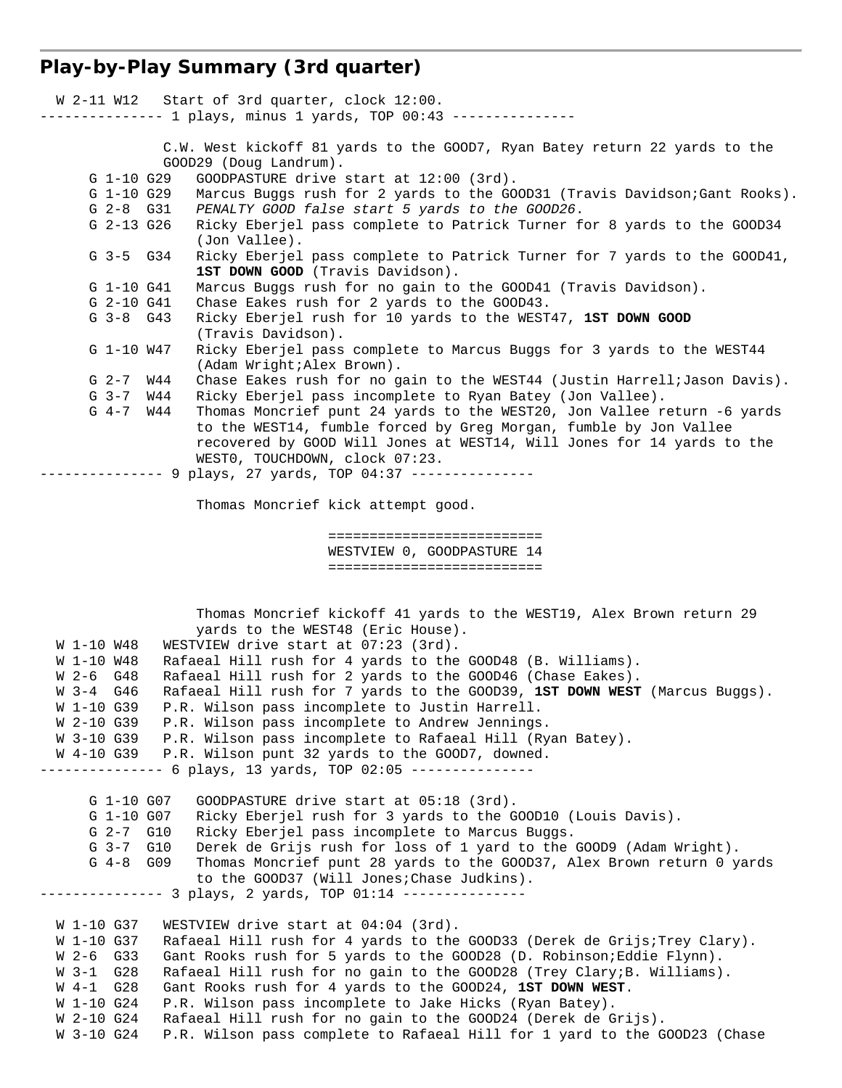# **Play-by-Play Summary (3rd quarter)**

|                          |          | W 2-11 W12 Start of 3rd quarter, clock 12:00.<br>--------- 1 plays, minus 1 yards, TOP 00:43 ---------------                                 |
|--------------------------|----------|----------------------------------------------------------------------------------------------------------------------------------------------|
|                          |          | C.W. West kickoff 81 yards to the GOOD7, Ryan Batey return 22 yards to the<br>GOOD29 (Doug Landrum).                                         |
| $G$ 1-10 $G29$           |          | GOODPASTURE drive start at 12:00 (3rd).                                                                                                      |
| G 1-10 G29               |          | Marcus Buggs rush for 2 yards to the GOOD31 (Travis Davidson;Gant Rooks).                                                                    |
| $G$ 2-8 $G$ 31           |          | PENALTY GOOD false start 5 yards to the GOOD26.                                                                                              |
| $G$ 2-13 $G$ 26          |          | Ricky Eberjel pass complete to Patrick Turner for 8 yards to the GOOD34<br>(Jon Vallee).                                                     |
| G 3-5 G34                |          | Ricky Eberjel pass complete to Patrick Turner for 7 yards to the GOOD41,<br>1ST DOWN GOOD (Travis Davidson).                                 |
| G 1-10 G41               |          | Marcus Buggs rush for no gain to the GOOD41 (Travis Davidson).                                                                               |
| G 2-10 G41               |          | Chase Eakes rush for 2 yards to the GOOD43.                                                                                                  |
| $G$ 3-8 $G$ 43           |          | Ricky Eberjel rush for 10 yards to the WEST47, 1ST DOWN GOOD<br>(Travis Davidson).                                                           |
| G 1-10 W47               |          | Ricky Eberjel pass complete to Marcus Buggs for 3 yards to the WEST44<br>(Adam Wright; Alex Brown).                                          |
| $G_{2-7}$                | W44      | Chase Eakes rush for no gain to the WEST44 (Justin Harrell; Jason Davis).                                                                    |
| $G_{3-7}$                |          |                                                                                                                                              |
|                          | W44      | Ricky Eberjel pass incomplete to Ryan Batey (Jon Vallee).                                                                                    |
| $G$ 4-7 $W44$            |          | Thomas Moncrief punt 24 yards to the WEST20, Jon Vallee return -6 yards<br>to the WEST14, fumble forced by Greg Morgan, fumble by Jon Vallee |
|                          |          | recovered by GOOD Will Jones at WEST14, Will Jones for 14 yards to the                                                                       |
|                          |          | WESTO, TOUCHDOWN, clock 07:23.                                                                                                               |
|                          |          | ------------- 9 plays, 27 yards, TOP 04:37 ---------------                                                                                   |
|                          |          | Thomas Moncrief kick attempt good.                                                                                                           |
|                          |          | ===========================                                                                                                                  |
|                          |          | WESTVIEW 0, GOODPASTURE 14                                                                                                                   |
|                          |          | ===========================                                                                                                                  |
|                          |          |                                                                                                                                              |
|                          |          | Thomas Moncrief kickoff 41 yards to the WEST19, Alex Brown return 29                                                                         |
|                          |          | yards to the WEST48 (Eric House).                                                                                                            |
| W 1-10 W48               |          |                                                                                                                                              |
| W 1-10 W48               |          | WESTVIEW drive start at 07:23 (3rd).                                                                                                         |
|                          |          | Rafaeal Hill rush for 4 yards to the GOOD48 (B. Williams).                                                                                   |
| W 2-6 G48                |          | Rafaeal Hill rush for 2 yards to the GOOD46 (Chase Eakes).                                                                                   |
| W 3-4 G46                |          | Rafaeal Hill rush for 7 yards to the GOOD39, 1ST DOWN WEST (Marcus Buggs).                                                                   |
| W 1-10 G39               |          | P.R. Wilson pass incomplete to Justin Harrell.                                                                                               |
| W 2-10 G39               |          | P.R. Wilson pass incomplete to Andrew Jennings.                                                                                              |
| W 3-10 G39               |          | P.R. Wilson pass incomplete to Rafaeal Hill (Ryan Batey).                                                                                    |
| W 4-10 G39               |          | P.R. Wilson punt 32 yards to the GOOD7, downed.                                                                                              |
|                          | $------$ | 6 plays, 13 yards, TOP 02:05 ---------------                                                                                                 |
|                          |          |                                                                                                                                              |
| G 1-10 G07               |          | GOODPASTURE drive start at 05:18 (3rd).                                                                                                      |
| G 1-10 G07               |          | Ricky Eberjel rush for 3 yards to the GOOD10 (Louis Davis).                                                                                  |
| $G_{2-7}$                | G10      | Ricky Eberjel pass incomplete to Marcus Buggs.                                                                                               |
| $G_{3-7}$                | G10      | Derek de Grijs rush for loss of 1 yard to the GOOD9 (Adam Wright).                                                                           |
| $G_4-8$                  | G09      | Thomas Moncrief punt 28 yards to the GOOD37, Alex Brown return 0 yards                                                                       |
|                          |          | to the GOOD37 (Will Jones; Chase Judkins).                                                                                                   |
|                          |          |                                                                                                                                              |
|                          |          |                                                                                                                                              |
| W 1-10 G37               |          | WESTVIEW drive start at 04:04 (3rd).                                                                                                         |
| W 1-10 G37               |          | Rafaeal Hill rush for 4 yards to the GOOD33 (Derek de Grijs; Trey Clary).                                                                    |
| W 2-6<br>G33             |          | Gant Rooks rush for 5 yards to the GOOD28 (D. Robinson; Eddie Flynn).                                                                        |
| G28<br>W 3-1             |          | Rafaeal Hill rush for no gain to the GOOD28 (Trey Clary; B. Williams).                                                                       |
| G28<br>W 4-1             |          | Gant Rooks rush for 4 yards to the GOOD24, 1ST DOWN WEST.                                                                                    |
| W 1-10 G24               |          | P.R. Wilson pass incomplete to Jake Hicks (Ryan Batey).                                                                                      |
| W 2-10 G24<br>W 3-10 G24 |          | Rafaeal Hill rush for no gain to the GOOD24 (Derek de Grijs).<br>P.R. Wilson pass complete to Rafaeal Hill for 1 yard to the GOOD23 (Chase   |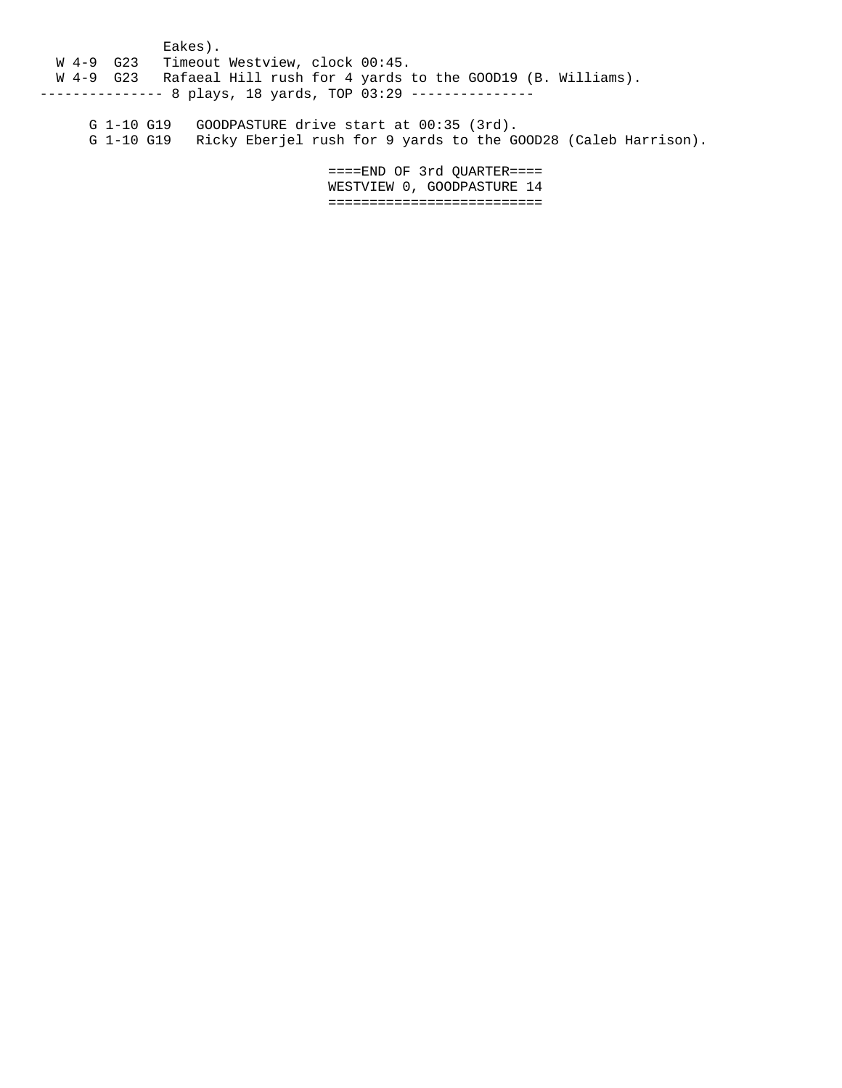Eakes). W 4-9 G23 Timeout Westview, clock 00:45. W 4-9 G23 Rafaeal Hill rush for 4 yards to the GOOD19 (B. Williams). -------------- 8 plays, 18 yards, TOP 03:29 ---------------

 G 1-10 G19 GOODPASTURE drive start at 00:35 (3rd). G 1-10 G19 Ricky Eberjel rush for 9 yards to the GOOD28 (Caleb Harrison).

> ====END OF 3rd QUARTER==== WESTVIEW 0, GOODPASTURE 14 ==========================